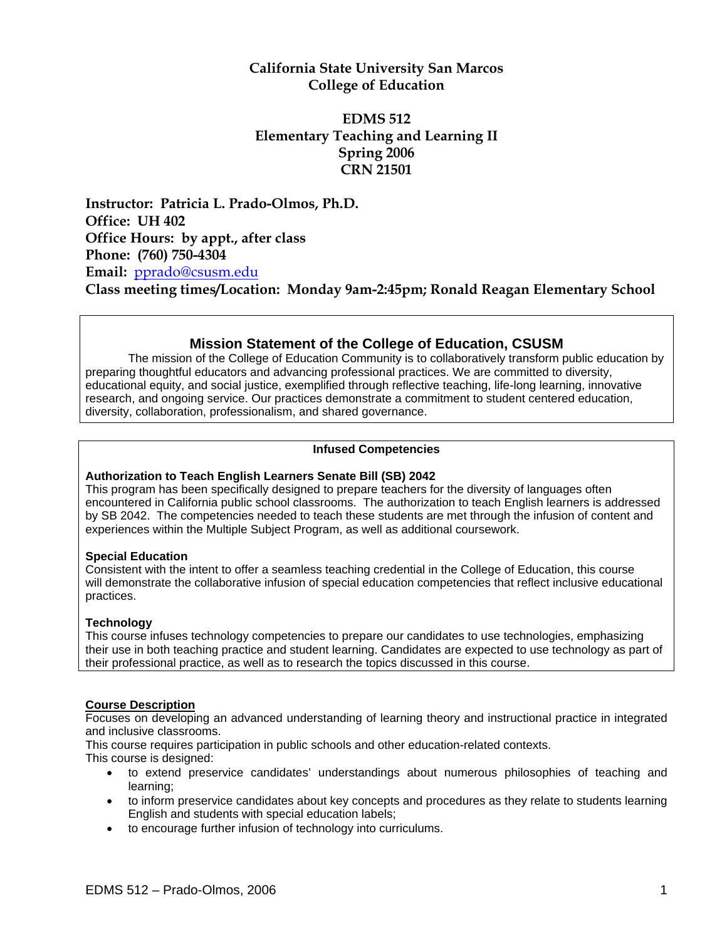# **California State University San Marcos College of Education**

# **EDMS 512 Elementary Teaching and Learning II Spring 2006 CRN 21501**

**Instructor: Patricia L. Prado-Olmos, Ph.D. Office: UH 402 Office Hours: by appt., after class Phone: (760) 750-4304 Email:** pprado@csusm.edu **Class meeting times/Location: Monday 9am-2:45pm; Ronald Reagan Elementary School**

# **Mission Statement of the College of Education, CSUSM**

The mission of the College of Education Community is to collaboratively transform public education by preparing thoughtful educators and advancing professional practices. We are committed to diversity, educational equity, and social justice, exemplified through reflective teaching, life-long learning, innovative research, and ongoing service. Our practices demonstrate a commitment to student centered education, diversity, collaboration, professionalism, and shared governance.

#### **Infused Competencies**

#### **Authorization to Teach English Learners Senate Bill (SB) 2042**

This program has been specifically designed to prepare teachers for the diversity of languages often encountered in California public school classrooms. The authorization to teach English learners is addressed by SB 2042. The competencies needed to teach these students are met through the infusion of content and experiences within the Multiple Subject Program, as well as additional coursework.

#### **Special Education**

Consistent with the intent to offer a seamless teaching credential in the College of Education, this course will demonstrate the collaborative infusion of special education competencies that reflect inclusive educational practices.

### **Technology**

This course infuses technology competencies to prepare our candidates to use technologies, emphasizing their use in both teaching practice and student learning. Candidates are expected to use technology as part of their professional practice, as well as to research the topics discussed in this course.

#### **Course Description**

Focuses on developing an advanced understanding of learning theory and instructional practice in integrated and inclusive classrooms.

This course requires participation in public schools and other education-related contexts.

This course is designed:

- to extend preservice candidates' understandings about numerous philosophies of teaching and learning;
- to inform preservice candidates about key concepts and procedures as they relate to students learning English and students with special education labels;
- to encourage further infusion of technology into curriculums.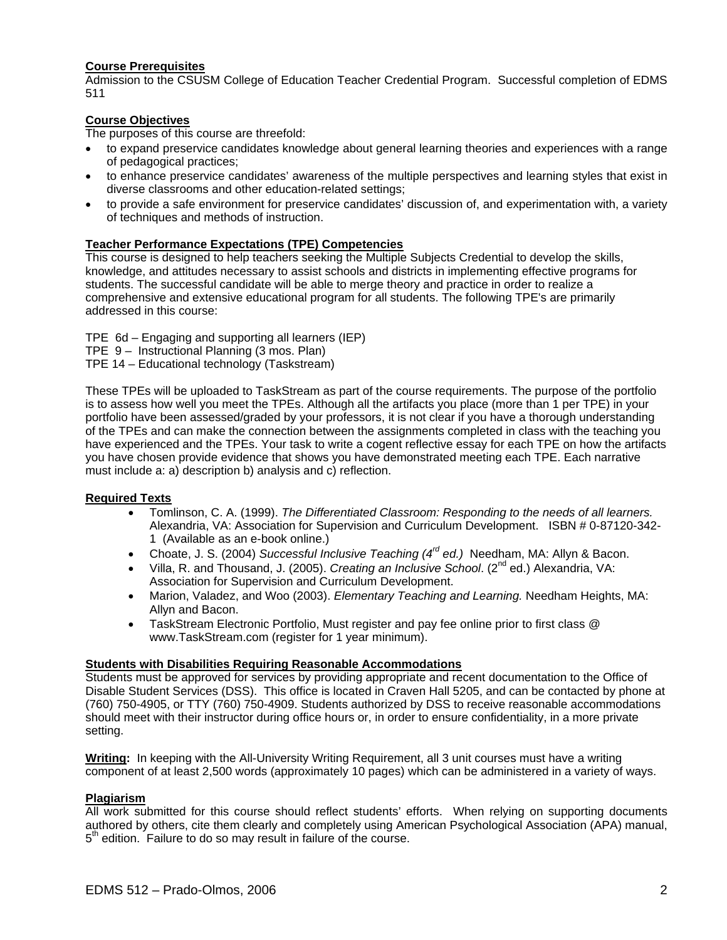#### **Course Prerequisites**

Admission to the CSUSM College of Education Teacher Credential Program. Successful completion of EDMS 511

### **Course Objectives**

The purposes of this course are threefold:

- to expand preservice candidates knowledge about general learning theories and experiences with a range of pedagogical practices;
- to enhance preservice candidates' awareness of the multiple perspectives and learning styles that exist in diverse classrooms and other education-related settings;
- to provide a safe environment for preservice candidates' discussion of, and experimentation with, a variety of techniques and methods of instruction.

# **Teacher Performance Expectations (TPE) Competencies**

This course is designed to help teachers seeking the Multiple Subjects Credential to develop the skills, knowledge, and attitudes necessary to assist schools and districts in implementing effective programs for students. The successful candidate will be able to merge theory and practice in order to realize a comprehensive and extensive educational program for all students. The following TPE's are primarily addressed in this course:

TPE 6d – Engaging and supporting all learners (IEP)

- TPE 9 Instructional Planning (3 mos. Plan)
- TPE 14 Educational technology (Taskstream)

These TPEs will be uploaded to TaskStream as part of the course requirements. The purpose of the portfolio is to assess how well you meet the TPEs. Although all the artifacts you place (more than 1 per TPE) in your portfolio have been assessed/graded by your professors, it is not clear if you have a thorough understanding of the TPEs and can make the connection between the assignments completed in class with the teaching you have experienced and the TPEs. Your task to write a cogent reflective essay for each TPE on how the artifacts you have chosen provide evidence that shows you have demonstrated meeting each TPE. Each narrative must include a: a) description b) analysis and c) reflection.

#### **Required Texts**

- Tomlinson, C. A. (1999). *The Differentiated Classroom: Responding to the needs of all learners.*  Alexandria, VA: Association for Supervision and Curriculum Development. ISBN # 0-87120-342- 1 (Available as an e-book online.)
- Choate, J. S. (2004) *Successful Inclusive Teaching (4rd ed.)* Needham, MA: Allyn & Bacon.
- Villa, R. and Thousand, J. (2005). *Creating an Inclusive School*. (2<sup>nd</sup> ed.) Alexandria, VA: Association for Supervision and Curriculum Development.
- Marion, Valadez, and Woo (2003). *Elementary Teaching and Learning.* Needham Heights, MA: Allyn and Bacon.
- TaskStream Electronic Portfolio, Must register and pay fee online prior to first class @ www.TaskStream.com (register for 1 year minimum).

#### **Students with Disabilities Requiring Reasonable Accommodations**

Students must be approved for services by providing appropriate and recent documentation to the Office of Disable Student Services (DSS). This office is located in Craven Hall 5205, and can be contacted by phone at (760) 750-4905, or TTY (760) 750-4909. Students authorized by DSS to receive reasonable accommodations should meet with their instructor during office hours or, in order to ensure confidentiality, in a more private setting.

**Writing:** In keeping with the All-University Writing Requirement, all 3 unit courses must have a writing component of at least 2,500 words (approximately 10 pages) which can be administered in a variety of ways.

#### **Plagiarism**

All work submitted for this course should reflect students' efforts. When relying on supporting documents authored by others, cite them clearly and completely using American Psychological Association (APA) manual,  $5<sup>th</sup>$  edition. Failure to do so may result in failure of the course.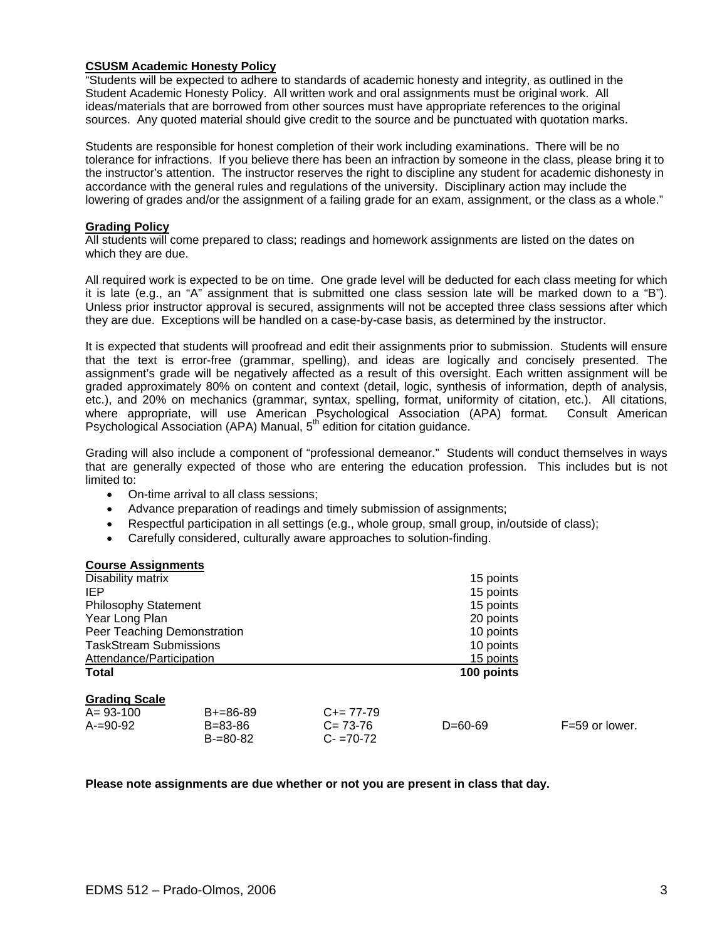#### **CSUSM Academic Honesty Policy**

"Students will be expected to adhere to standards of academic honesty and integrity, as outlined in the Student Academic Honesty Policy. All written work and oral assignments must be original work. All ideas/materials that are borrowed from other sources must have appropriate references to the original sources. Any quoted material should give credit to the source and be punctuated with quotation marks.

Students are responsible for honest completion of their work including examinations. There will be no tolerance for infractions. If you believe there has been an infraction by someone in the class, please bring it to the instructor's attention. The instructor reserves the right to discipline any student for academic dishonesty in accordance with the general rules and regulations of the university. Disciplinary action may include the lowering of grades and/or the assignment of a failing grade for an exam, assignment, or the class as a whole."

#### **Grading Policy**

All students will come prepared to class; readings and homework assignments are listed on the dates on which they are due.

All required work is expected to be on time. One grade level will be deducted for each class meeting for which it is late (e.g., an "A" assignment that is submitted one class session late will be marked down to a "B"). Unless prior instructor approval is secured, assignments will not be accepted three class sessions after which they are due. Exceptions will be handled on a case-by-case basis, as determined by the instructor.

It is expected that students will proofread and edit their assignments prior to submission. Students will ensure that the text is error-free (grammar, spelling), and ideas are logically and concisely presented. The assignment's grade will be negatively affected as a result of this oversight. Each written assignment will be graded approximately 80% on content and context (detail, logic, synthesis of information, depth of analysis, etc.), and 20% on mechanics (grammar, syntax, spelling, format, uniformity of citation, etc.). All citations, where appropriate, will use American Psychological Association (APA) format. Consult American Psychological Association (APA) Manual, 5th edition for citation guidance.

Grading will also include a component of "professional demeanor." Students will conduct themselves in ways that are generally expected of those who are entering the education profession. This includes but is not limited to:

- On-time arrival to all class sessions;
- Advance preparation of readings and timely submission of assignments;
- Respectful participation in all settings (e.g., whole group, small group, in/outside of class);
- Carefully considered, culturally aware approaches to solution-finding.

| <b>Course Assignments</b>       |                                              |                                             |            |                |  |
|---------------------------------|----------------------------------------------|---------------------------------------------|------------|----------------|--|
| Disability matrix               |                                              |                                             | 15 points  |                |  |
| IEP                             |                                              |                                             | 15 points  |                |  |
| <b>Philosophy Statement</b>     |                                              |                                             | 15 points  |                |  |
| Year Long Plan                  |                                              |                                             | 20 points  |                |  |
| Peer Teaching Demonstration     |                                              |                                             | 10 points  |                |  |
| <b>TaskStream Submissions</b>   |                                              |                                             | 10 points  |                |  |
| Attendance/Participation        |                                              |                                             | 15 points  |                |  |
| Total                           |                                              |                                             | 100 points |                |  |
| <b>Grading Scale</b>            |                                              |                                             |            |                |  |
| $A = 93 - 100$<br>$A = 90 - 92$ | $B+=86-89$<br>$B = 83 - 86$<br>$B = 80 - 82$ | $C+= 77-79$<br>$C = 73-76$<br>$C - 70 - 72$ | $D=60-69$  | F=59 or lower. |  |

#### **Please note assignments are due whether or not you are present in class that day.**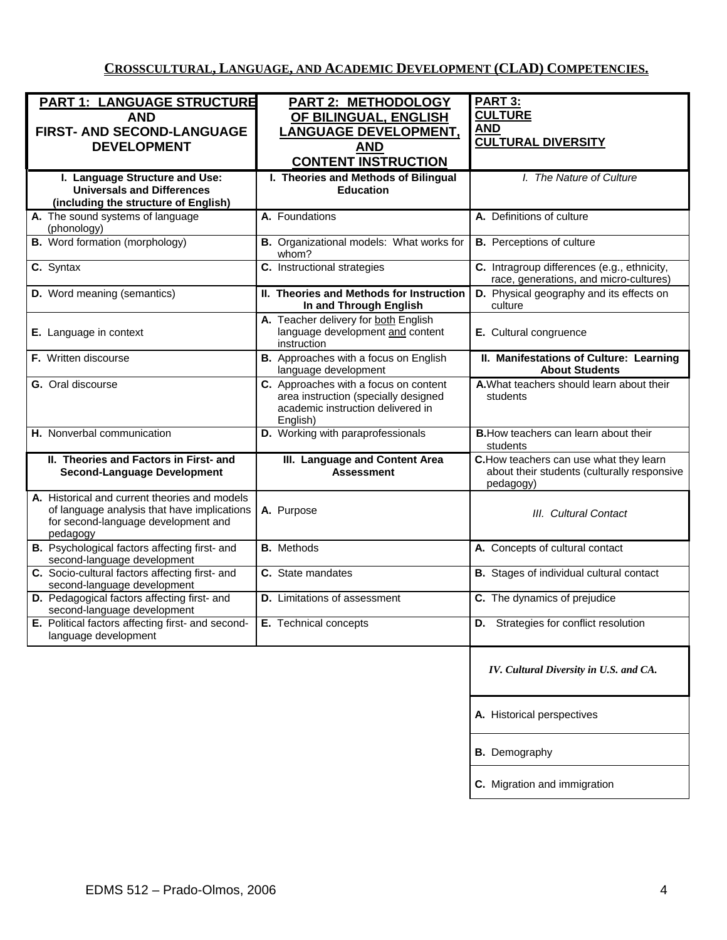# **CROSSCULTURAL, LANGUAGE, AND ACADEMIC DEVELOPMENT (CLAD) COMPETENCIES.**

| <b>PART 1: LANGUAGE STRUCTURE</b>                                                                                                               | <b>PART 2: METHODOLOGY</b>                                                                                                     | PART 3:                                                                                             |
|-------------------------------------------------------------------------------------------------------------------------------------------------|--------------------------------------------------------------------------------------------------------------------------------|-----------------------------------------------------------------------------------------------------|
| <b>AND</b>                                                                                                                                      | OF BILINGUAL, ENGLISH                                                                                                          | <b>CULTURE</b>                                                                                      |
| FIRST- AND SECOND-LANGUAGE                                                                                                                      | <b>LANGUAGE DEVELOPMENT,</b>                                                                                                   | <b>AND</b>                                                                                          |
| <b>DEVELOPMENT</b>                                                                                                                              | AND                                                                                                                            | <b>CULTURAL DIVERSITY</b>                                                                           |
|                                                                                                                                                 | <b>CONTENT INSTRUCTION</b>                                                                                                     |                                                                                                     |
|                                                                                                                                                 |                                                                                                                                |                                                                                                     |
| I. Language Structure and Use:<br><b>Universals and Differences</b>                                                                             | I. Theories and Methods of Bilingual<br><b>Education</b>                                                                       | I. The Nature of Culture                                                                            |
| (including the structure of English)                                                                                                            |                                                                                                                                |                                                                                                     |
| A. The sound systems of language                                                                                                                | A. Foundations                                                                                                                 | A. Definitions of culture                                                                           |
| (phonology)                                                                                                                                     |                                                                                                                                |                                                                                                     |
| <b>B.</b> Word formation (morphology)                                                                                                           | B. Organizational models: What works for<br>whom?                                                                              | <b>B.</b> Perceptions of culture                                                                    |
| C. Syntax                                                                                                                                       | C. Instructional strategies                                                                                                    | C. Intragroup differences (e.g., ethnicity,<br>race, generations, and micro-cultures)               |
| <b>D.</b> Word meaning (semantics)                                                                                                              | II. Theories and Methods for Instruction<br>In and Through English                                                             | D. Physical geography and its effects on<br>culture                                                 |
| E. Language in context                                                                                                                          | A. Teacher delivery for both English<br>language development and content                                                       | E. Cultural congruence                                                                              |
|                                                                                                                                                 | instruction                                                                                                                    |                                                                                                     |
| F. Written discourse                                                                                                                            | B. Approaches with a focus on English<br>language development                                                                  | II. Manifestations of Culture: Learning<br><b>About Students</b>                                    |
| G. Oral discourse                                                                                                                               | C. Approaches with a focus on content<br>area instruction (specially designed<br>academic instruction delivered in<br>English) | A. What teachers should learn about their<br>students                                               |
| H. Nonverbal communication                                                                                                                      | D. Working with paraprofessionals                                                                                              | <b>B.</b> How teachers can learn about their<br>students                                            |
| II. Theories and Factors in First- and<br><b>Second-Language Development</b>                                                                    | III. Language and Content Area<br><b>Assessment</b>                                                                            | C. How teachers can use what they learn<br>about their students (culturally responsive<br>pedagogy) |
| A. Historical and current theories and models<br>of language analysis that have implications<br>for second-language development and<br>pedagogy | A. Purpose                                                                                                                     | III. Cultural Contact                                                                               |
| B. Psychological factors affecting first- and<br>second-language development                                                                    | <b>B.</b> Methods                                                                                                              | A. Concepts of cultural contact                                                                     |
| C. Socio-cultural factors affecting first- and<br>second-language development                                                                   | C. State mandates                                                                                                              | <b>B.</b> Stages of individual cultural contact                                                     |
| D. Pedagogical factors affecting first- and<br>second-language development                                                                      | <b>D.</b> Limitations of assessment                                                                                            | C. The dynamics of prejudice                                                                        |
| E. Political factors affecting first- and second-   E. Technical concepts<br>language development                                               |                                                                                                                                | D. Strategies for conflict resolution                                                               |
|                                                                                                                                                 |                                                                                                                                | IV. Cultural Diversity in U.S. and CA.                                                              |
|                                                                                                                                                 |                                                                                                                                | A. Historical perspectives                                                                          |
|                                                                                                                                                 |                                                                                                                                | <b>B.</b> Demography                                                                                |
|                                                                                                                                                 |                                                                                                                                | C. Migration and immigration                                                                        |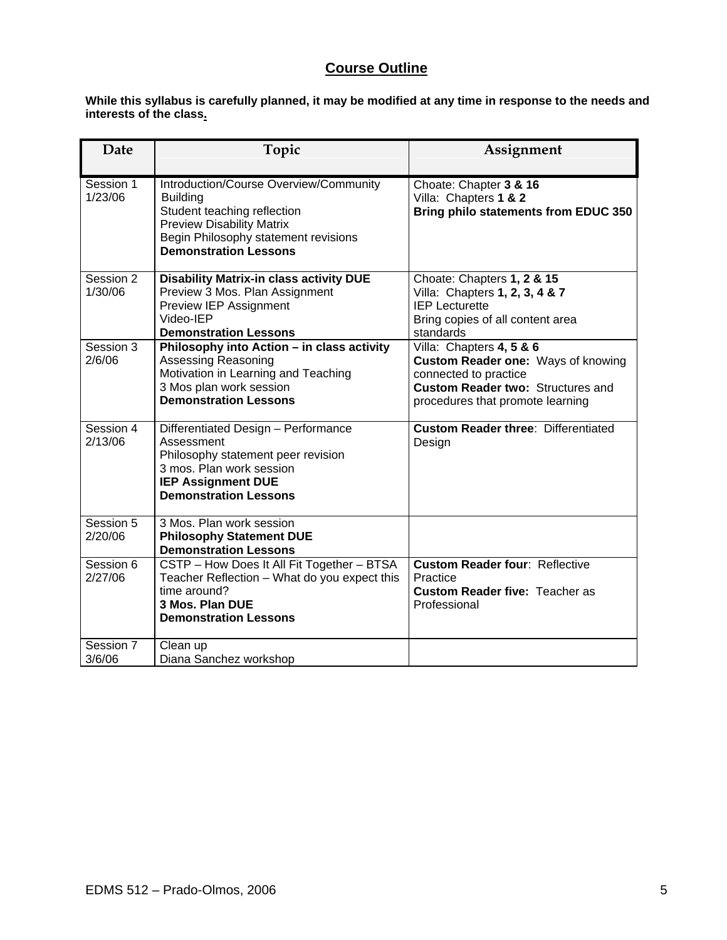# **Course Outline**

**While this syllabus is carefully planned, it may be modified at any time in response to the needs and interests of the class.** 

| Date                 | Topic                                                                                                                                                                                                | Assignment                                                                                                                                                              |
|----------------------|------------------------------------------------------------------------------------------------------------------------------------------------------------------------------------------------------|-------------------------------------------------------------------------------------------------------------------------------------------------------------------------|
| Session 1<br>1/23/06 | Introduction/Course Overview/Community<br><b>Building</b><br>Student teaching reflection<br><b>Preview Disability Matrix</b><br>Begin Philosophy statement revisions<br><b>Demonstration Lessons</b> | Choate: Chapter 3 & 16<br>Villa: Chapters 1 & 2<br>Bring philo statements from EDUC 350                                                                                 |
| Session 2<br>1/30/06 | <b>Disability Matrix-in class activity DUE</b><br>Preview 3 Mos. Plan Assignment<br>Preview IEP Assignment<br>Video-IEP<br><b>Demonstration Lessons</b>                                              | Choate: Chapters 1, 2 & 15<br>Villa: Chapters 1, 2, 3, 4 & 7<br><b>IEP Lecturette</b><br>Bring copies of all content area<br>standards                                  |
| Session 3<br>2/6/06  | Philosophy into Action - in class activity<br>Assessing Reasoning<br>Motivation in Learning and Teaching<br>3 Mos plan work session<br><b>Demonstration Lessons</b>                                  | Villa: Chapters 4, 5 & 6<br>Custom Reader one: Ways of knowing<br>connected to practice<br><b>Custom Reader two: Structures and</b><br>procedures that promote learning |
| Session 4<br>2/13/06 | Differentiated Design - Performance<br>Assessment<br>Philosophy statement peer revision<br>3 mos. Plan work session<br><b>IEP Assignment DUE</b><br><b>Demonstration Lessons</b>                     | <b>Custom Reader three: Differentiated</b><br>Design                                                                                                                    |
| Session 5<br>2/20/06 | 3 Mos. Plan work session<br><b>Philosophy Statement DUE</b><br><b>Demonstration Lessons</b>                                                                                                          |                                                                                                                                                                         |
| Session 6<br>2/27/06 | CSTP - How Does It All Fit Together - BTSA<br>Teacher Reflection - What do you expect this<br>time around?<br>3 Mos. Plan DUE<br><b>Demonstration Lessons</b>                                        | <b>Custom Reader four: Reflective</b><br>Practice<br><b>Custom Reader five: Teacher as</b><br>Professional                                                              |
| Session 7<br>3/6/06  | Clean up<br>Diana Sanchez workshop                                                                                                                                                                   |                                                                                                                                                                         |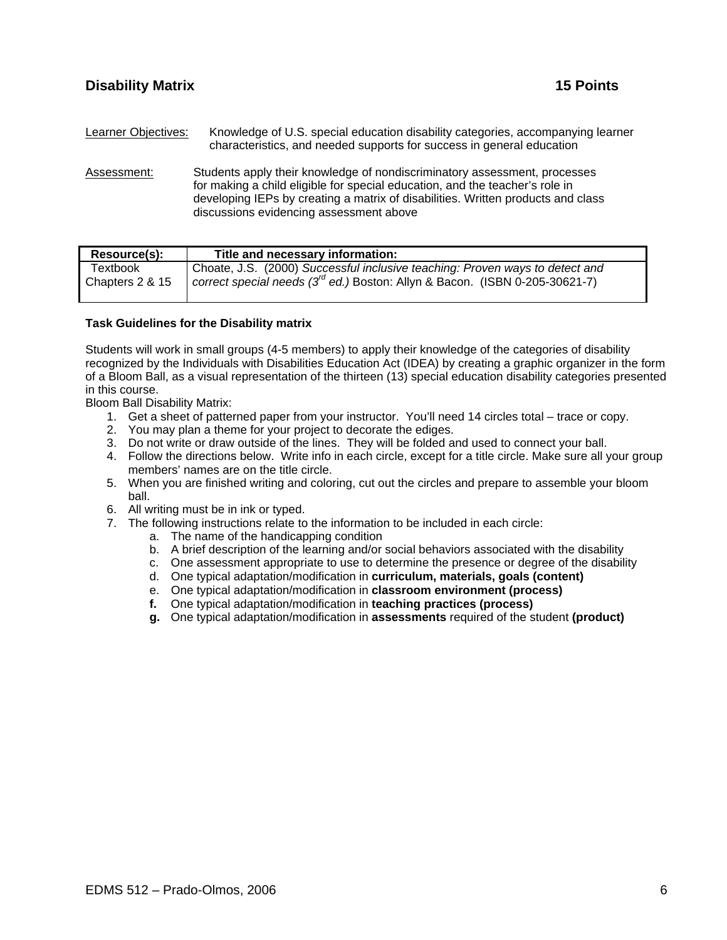Learner Objectives: Knowledge of U.S. special education disability categories, accompanying learner characteristics, and needed supports for success in general education

Assessment: Students apply their knowledge of nondiscriminatory assessment, processes for making a child eligible for special education, and the teacher's role in developing IEPs by creating a matrix of disabilities. Written products and class discussions evidencing assessment above

| Resource(s):    | Title and necessary information:                                                 |
|-----------------|----------------------------------------------------------------------------------|
| Textbook        | Choate, J.S. (2000) Successful inclusive teaching: Proven ways to detect and     |
| Chapters 2 & 15 | correct special needs $(3^{rd}$ ed.) Boston: Allyn & Bacon. (ISBN 0-205-30621-7) |

#### **Task Guidelines for the Disability matrix**

Students will work in small groups (4-5 members) to apply their knowledge of the categories of disability recognized by the Individuals with Disabilities Education Act (IDEA) by creating a graphic organizer in the form of a Bloom Ball, as a visual representation of the thirteen (13) special education disability categories presented in this course.

Bloom Ball Disability Matrix:

- 1. Get a sheet of patterned paper from your instructor. You'll need 14 circles total trace or copy.
- 2. You may plan a theme for your project to decorate the ediges.
- 3. Do not write or draw outside of the lines. They will be folded and used to connect your ball.
- 4. Follow the directions below. Write info in each circle, except for a title circle. Make sure all your group members' names are on the title circle.
- 5. When you are finished writing and coloring, cut out the circles and prepare to assemble your bloom ball.
- 6. All writing must be in ink or typed.
- 7. The following instructions relate to the information to be included in each circle:
	- a. The name of the handicapping condition
	- b. A brief description of the learning and/or social behaviors associated with the disability
	- c. One assessment appropriate to use to determine the presence or degree of the disability
	- d. One typical adaptation/modification in **curriculum, materials, goals (content)**
	- e. One typical adaptation/modification in **classroom environment (process)**
	- **f.** One typical adaptation/modification in **teaching practices (process)**
	- **g.** One typical adaptation/modification in **assessments** required of the student **(product)**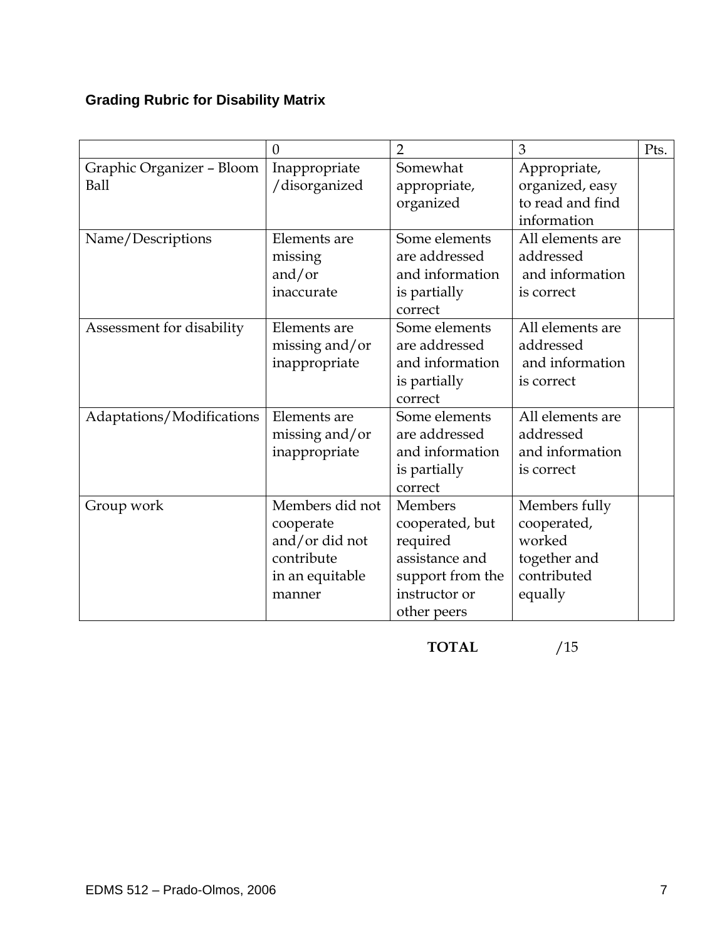# **Grading Rubric for Disability Matrix**

|                           | $\Omega$        | $\overline{2}$   | 3                | Pts. |
|---------------------------|-----------------|------------------|------------------|------|
| Graphic Organizer - Bloom | Inappropriate   | Somewhat         | Appropriate,     |      |
| <b>Ball</b>               | /disorganized   | appropriate,     | organized, easy  |      |
|                           |                 | organized        | to read and find |      |
|                           |                 |                  | information      |      |
| Name/Descriptions         | Elements are    | Some elements    | All elements are |      |
|                           | missing         | are addressed    | addressed        |      |
|                           | and/or          | and information  | and information  |      |
|                           | inaccurate      | is partially     | is correct       |      |
|                           |                 | correct          |                  |      |
| Assessment for disability | Elements are    | Some elements    | All elements are |      |
|                           | missing and/or  | are addressed    | addressed        |      |
|                           | inappropriate   | and information  | and information  |      |
|                           |                 | is partially     | is correct       |      |
|                           |                 | correct          |                  |      |
| Adaptations/Modifications | Elements are    | Some elements    | All elements are |      |
|                           | missing and/or  | are addressed    | addressed        |      |
|                           | inappropriate   | and information  | and information  |      |
|                           |                 | is partially     | is correct       |      |
|                           |                 | correct          |                  |      |
| Group work                | Members did not | Members          | Members fully    |      |
|                           | cooperate       | cooperated, but  | cooperated,      |      |
|                           | and/or did not  | required         | worked           |      |
|                           | contribute      | assistance and   | together and     |      |
|                           | in an equitable | support from the | contributed      |      |
|                           | manner          | instructor or    | equally          |      |
|                           |                 | other peers      |                  |      |

**TOTAL** /15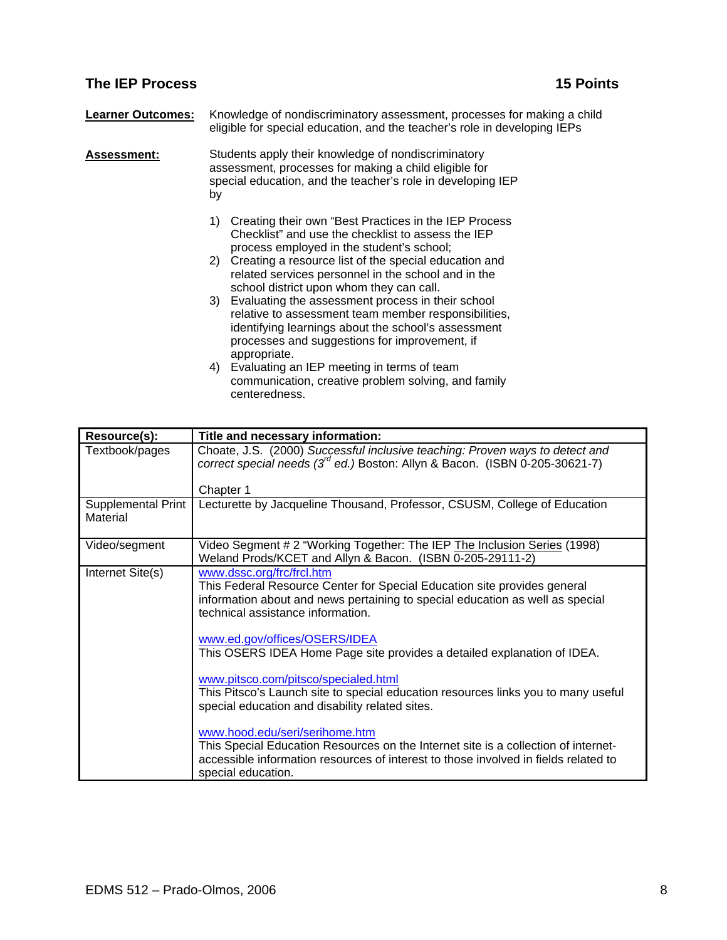# **The IEP Process** 15 Points **15 Points**

| <b>Learner Outcomes:</b> | Knowledge of nondiscriminatory assessment, processes for making a child<br>eligible for special education, and the teacher's role in developing IEPs                                                                                                                                                                           |
|--------------------------|--------------------------------------------------------------------------------------------------------------------------------------------------------------------------------------------------------------------------------------------------------------------------------------------------------------------------------|
| <b>Assessment:</b>       | Students apply their knowledge of nondiscriminatory<br>assessment, processes for making a child eligible for<br>special education, and the teacher's role in developing IEP<br>by                                                                                                                                              |
|                          | Creating their own "Best Practices in the IEP Process"<br>1)<br>Checklist" and use the checklist to assess the IEP<br>process employed in the student's school;<br>2) Creating a resource list of the special education and<br>related services personnel in the school and in the<br>school district upon whom they can call. |
|                          | 3) Evaluating the assessment process in their school<br>relative to assessment team member responsibilities,<br>identifying learnings about the school's assessment<br>processes and suggestions for improvement, if<br>appropriate.                                                                                           |
|                          | Evaluating an IEP meeting in terms of team<br>4)<br>communication, creative problem solving, and family<br>centeredness.                                                                                                                                                                                                       |

| Resource(s):                          | Title and necessary information:                                                                                                                                                                                                  |
|---------------------------------------|-----------------------------------------------------------------------------------------------------------------------------------------------------------------------------------------------------------------------------------|
| Textbook/pages                        | Choate, J.S. (2000) Successful inclusive teaching: Proven ways to detect and<br>correct special needs $(3^d$ ed.) Boston: Allyn & Bacon. (ISBN 0-205-30621-7)                                                                     |
|                                       | Chapter 1                                                                                                                                                                                                                         |
| <b>Supplemental Print</b><br>Material | Lecturette by Jacqueline Thousand, Professor, CSUSM, College of Education                                                                                                                                                         |
| Video/segment                         | Video Segment # 2 "Working Together: The IEP The Inclusion Series (1998)<br>Weland Prods/KCET and Allyn & Bacon. (ISBN 0-205-29111-2)                                                                                             |
| Internet Site(s)                      | www.dssc.org/frc/frcl.htm<br>This Federal Resource Center for Special Education site provides general<br>information about and news pertaining to special education as well as special<br>technical assistance information.       |
|                                       | www.ed.gov/offices/OSERS/IDEA<br>This OSERS IDEA Home Page site provides a detailed explanation of IDEA.                                                                                                                          |
|                                       | www.pitsco.com/pitsco/specialed.html<br>This Pitsco's Launch site to special education resources links you to many useful<br>special education and disability related sites.                                                      |
|                                       | www.hood.edu/seri/serihome.htm<br>This Special Education Resources on the Internet site is a collection of internet-<br>accessible information resources of interest to those involved in fields related to<br>special education. |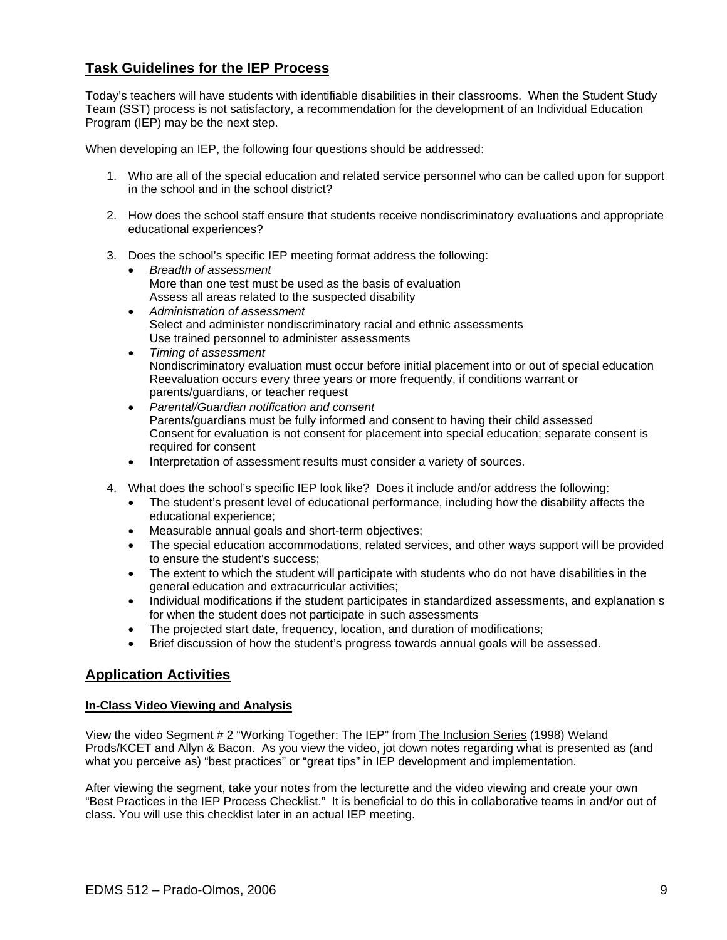# **Task Guidelines for the IEP Process**

Today's teachers will have students with identifiable disabilities in their classrooms. When the Student Study Team (SST) process is not satisfactory, a recommendation for the development of an Individual Education Program (IEP) may be the next step.

When developing an IEP, the following four questions should be addressed:

- 1. Who are all of the special education and related service personnel who can be called upon for support in the school and in the school district?
- 2. How does the school staff ensure that students receive nondiscriminatory evaluations and appropriate educational experiences?
- 3. Does the school's specific IEP meeting format address the following:
	- *Breadth of assessment*  More than one test must be used as the basis of evaluation Assess all areas related to the suspected disability
	- *Administration of assessment*  Select and administer nondiscriminatory racial and ethnic assessments Use trained personnel to administer assessments
	- *Timing of assessment*  Nondiscriminatory evaluation must occur before initial placement into or out of special education Reevaluation occurs every three years or more frequently, if conditions warrant or parents/guardians, or teacher request
	- *Parental/Guardian notification and consent*  Parents/guardians must be fully informed and consent to having their child assessed Consent for evaluation is not consent for placement into special education; separate consent is required for consent
	- Interpretation of assessment results must consider a variety of sources.
- 4. What does the school's specific IEP look like? Does it include and/or address the following:
	- The student's present level of educational performance, including how the disability affects the educational experience;
	- Measurable annual goals and short-term objectives;
	- The special education accommodations, related services, and other ways support will be provided to ensure the student's success;
	- The extent to which the student will participate with students who do not have disabilities in the general education and extracurricular activities;
	- Individual modifications if the student participates in standardized assessments, and explanation s for when the student does not participate in such assessments
	- The projected start date, frequency, location, and duration of modifications;
	- Brief discussion of how the student's progress towards annual goals will be assessed.

## **Application Activities**

#### **In-Class Video Viewing and Analysis**

View the video Segment # 2 "Working Together: The IEP" from The Inclusion Series (1998) Weland Prods/KCET and Allyn & Bacon. As you view the video, jot down notes regarding what is presented as (and what you perceive as) "best practices" or "great tips" in IEP development and implementation.

After viewing the segment, take your notes from the lecturette and the video viewing and create your own "Best Practices in the IEP Process Checklist." It is beneficial to do this in collaborative teams in and/or out of class. You will use this checklist later in an actual IEP meeting.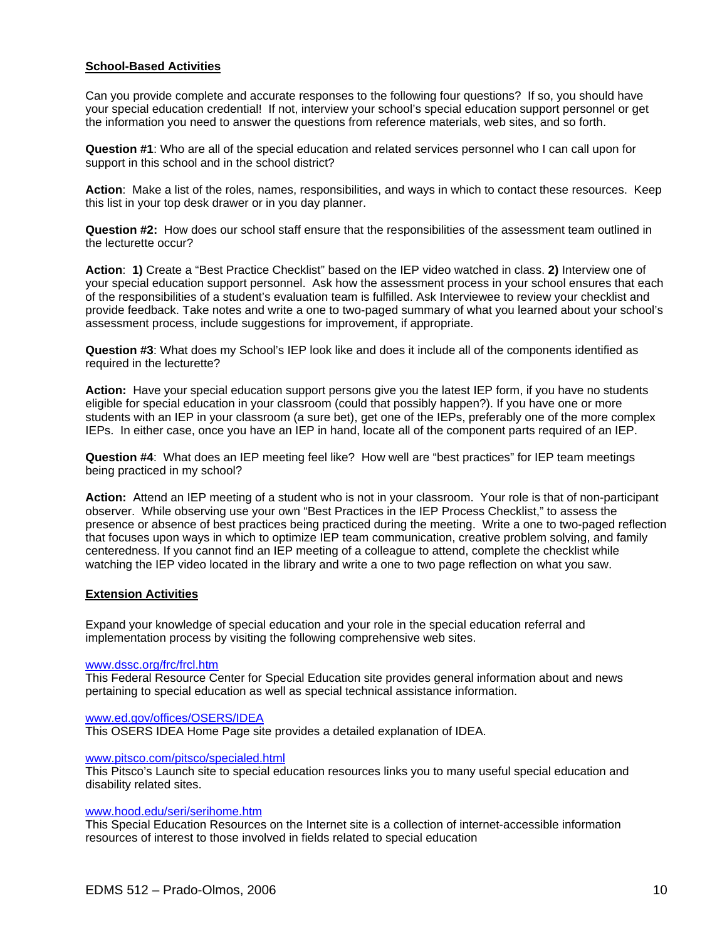#### **School-Based Activities**

Can you provide complete and accurate responses to the following four questions? If so, you should have your special education credential! If not, interview your school's special education support personnel or get the information you need to answer the questions from reference materials, web sites, and so forth.

**Question #1**: Who are all of the special education and related services personnel who I can call upon for support in this school and in the school district?

**Action**: Make a list of the roles, names, responsibilities, and ways in which to contact these resources. Keep this list in your top desk drawer or in you day planner.

**Question #2:** How does our school staff ensure that the responsibilities of the assessment team outlined in the lecturette occur?

**Action**: **1)** Create a "Best Practice Checklist" based on the IEP video watched in class. **2)** Interview one of your special education support personnel. Ask how the assessment process in your school ensures that each of the responsibilities of a student's evaluation team is fulfilled. Ask Interviewee to review your checklist and provide feedback. Take notes and write a one to two-paged summary of what you learned about your school's assessment process, include suggestions for improvement, if appropriate.

**Question #3**: What does my School's IEP look like and does it include all of the components identified as required in the lecturette?

**Action:** Have your special education support persons give you the latest IEP form, if you have no students eligible for special education in your classroom (could that possibly happen?). If you have one or more students with an IEP in your classroom (a sure bet), get one of the IEPs, preferably one of the more complex IEPs. In either case, once you have an IEP in hand, locate all of the component parts required of an IEP.

**Question #4**: What does an IEP meeting feel like? How well are "best practices" for IEP team meetings being practiced in my school?

**Action:** Attend an IEP meeting of a student who is not in your classroom. Your role is that of non-participant observer. While observing use your own "Best Practices in the IEP Process Checklist," to assess the presence or absence of best practices being practiced during the meeting. Write a one to two-paged reflection that focuses upon ways in which to optimize IEP team communication, creative problem solving, and family centeredness. If you cannot find an IEP meeting of a colleague to attend, complete the checklist while watching the IEP video located in the library and write a one to two page reflection on what you saw.

#### **Extension Activities**

Expand your knowledge of special education and your role in the special education referral and implementation process by visiting the following comprehensive web sites.

#### www.dssc.org/frc/frcl.htm

This Federal Resource Center for Special Education site provides general information about and news pertaining to special education as well as special technical assistance information.

#### www.ed.gov/offices/OSERS/IDEA

This OSERS IDEA Home Page site provides a detailed explanation of IDEA.

#### www.pitsco.com/pitsco/specialed.html

This Pitsco's Launch site to special education resources links you to many useful special education and disability related sites.

#### www.hood.edu/seri/serihome.htm

This Special Education Resources on the Internet site is a collection of internet-accessible information resources of interest to those involved in fields related to special education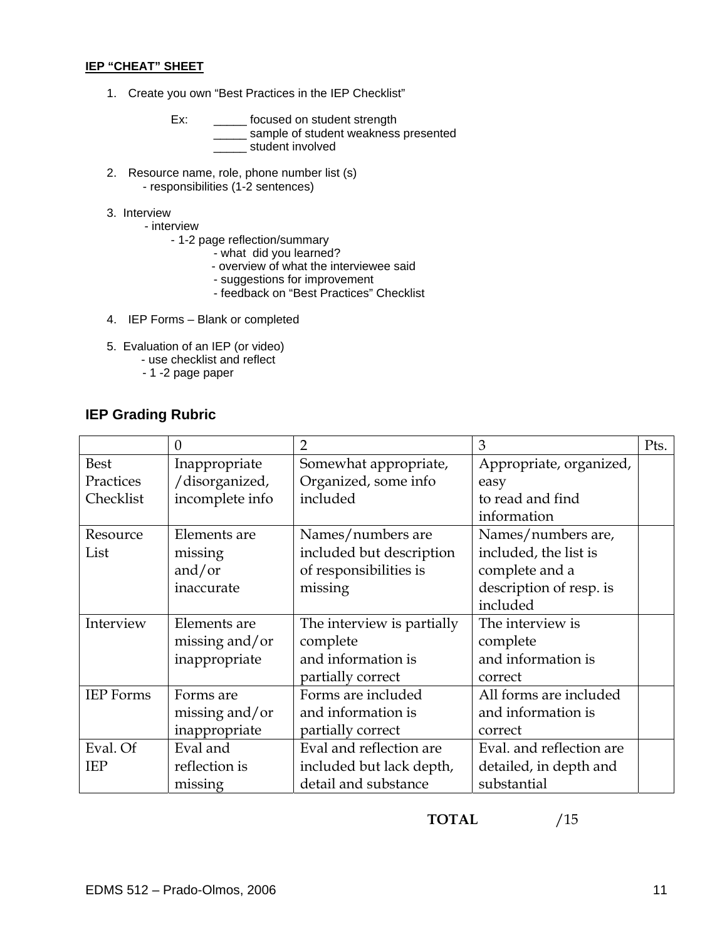#### **IEP "CHEAT" SHEET**

1. Create you own "Best Practices in the IEP Checklist"

Ex: \_\_\_\_\_\_ focused on student strength **EXECUTE:** STREAM STREAM STREAM STREAM STREAM STREAM STREAM STREAM STREAM STREAM STREAM STREAM STREAM STREAM STREAM STREAM STREAM STREAM STREAM STREAM STREAM STREAM STREAM STREAM STREAM STREAM STREAM STREAM STREAM STREAM S **with the student involved** 

- 2. Resource name, role, phone number list (s) - responsibilities (1-2 sentences)
- 3. Interview
	- interview
		- 1-2 page reflection/summary
- what did you learned?
- overview of what the interviewee said
	- suggestions for improvement
	- feedback on "Best Practices" Checklist
- 4. IEP Forms Blank or completed
- 5. Evaluation of an IEP (or video)
	- use checklist and reflect
		- 1 -2 page paper

# **IEP Grading Rubric**

|                  | $\overline{0}$  | $\overline{2}$             | 3                        | Pts. |
|------------------|-----------------|----------------------------|--------------------------|------|
| <b>Best</b>      | Inappropriate   | Somewhat appropriate,      | Appropriate, organized,  |      |
| Practices        | /disorganized,  | Organized, some info       | easy                     |      |
| Checklist        | incomplete info | included                   | to read and find         |      |
|                  |                 |                            | information              |      |
| Resource         | Elements are    | Names/numbers are          | Names/numbers are,       |      |
| List             | missing         | included but description   | included, the list is    |      |
|                  | and/or          | of responsibilities is     | complete and a           |      |
|                  | inaccurate      | missing                    | description of resp. is  |      |
|                  |                 |                            | included                 |      |
| Interview        | Elements are    | The interview is partially | The interview is         |      |
|                  | missing and/or  | complete                   | complete                 |      |
|                  | inappropriate   | and information is         | and information is       |      |
|                  |                 | partially correct          | correct                  |      |
| <b>IEP</b> Forms | Forms are       | Forms are included         | All forms are included   |      |
|                  | missing and/or  | and information is         | and information is       |      |
|                  | inappropriate   | partially correct          | correct                  |      |
| Eval. Of         | Eval and        | Eval and reflection are    | Eval. and reflection are |      |
| <b>IEP</b>       | reflection is   | included but lack depth,   | detailed, in depth and   |      |
|                  | missing         | detail and substance       | substantial              |      |

**TOTAL** /15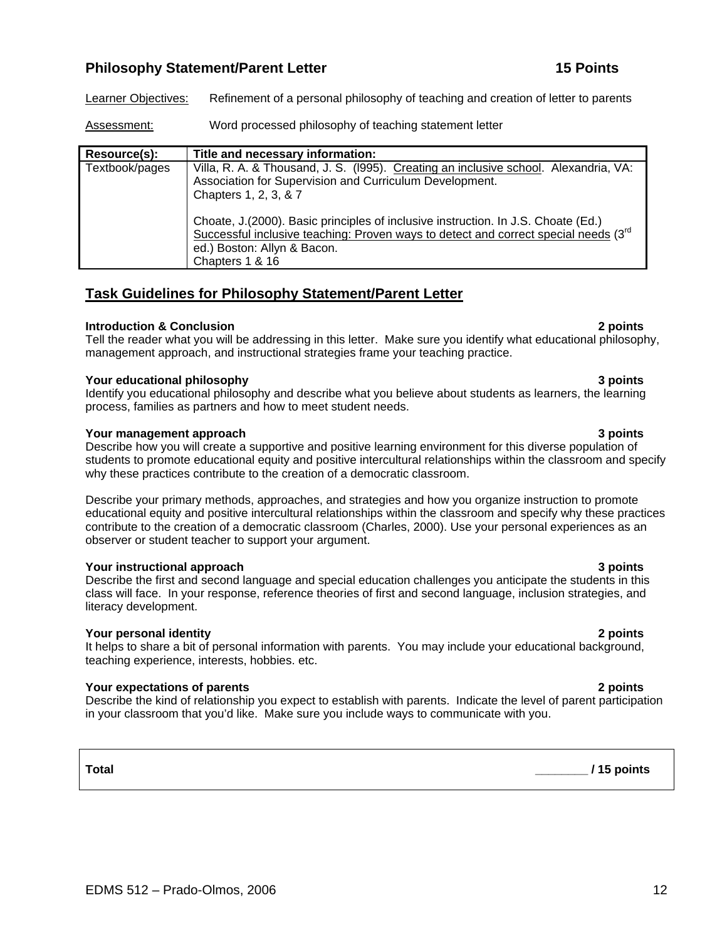# **Philosophy Statement/Parent Letter 15 Points 15 Points 15 Points 15 Points 15 Points 15 Points 15 Points 15 Points 15 Points 15 Points 15 Points 15 Points 15 Points 15 Points 15 Points 15 Points 15 Points 15 Points 15 Poi**

Learner Objectives: Refinement of a personal philosophy of teaching and creation of letter to parents

Assessment: Word processed philosophy of teaching statement letter

| Resource(s):   | Title and necessary information:                                                                                                                                                                                                 |  |
|----------------|----------------------------------------------------------------------------------------------------------------------------------------------------------------------------------------------------------------------------------|--|
| Textbook/pages | Villa, R. A. & Thousand, J. S. (1995). Creating an inclusive school. Alexandria, VA:<br>Association for Supervision and Curriculum Development.<br>Chapters 1, 2, 3, & 7                                                         |  |
|                | Choate, J. (2000). Basic principles of inclusive instruction. In J.S. Choate (Ed.)<br>Successful inclusive teaching: Proven ways to detect and correct special needs $(3^{rd}$<br>ed.) Boston: Allyn & Bacon.<br>Chapters 1 & 16 |  |

# **Task Guidelines for Philosophy Statement/Parent Letter**

### **Introduction & Conclusion 2 points**

Tell the reader what you will be addressing in this letter. Make sure you identify what educational philosophy, management approach, and instructional strategies frame your teaching practice.

### **Your educational philosophy 3 points**

Identify you educational philosophy and describe what you believe about students as learners, the learning process, families as partners and how to meet student needs.

#### **Your management approach 3 points 3 points 3 points 3 points**

Describe how you will create a supportive and positive learning environment for this diverse population of students to promote educational equity and positive intercultural relationships within the classroom and specify why these practices contribute to the creation of a democratic classroom.

Describe your primary methods, approaches, and strategies and how you organize instruction to promote educational equity and positive intercultural relationships within the classroom and specify why these practices contribute to the creation of a democratic classroom (Charles, 2000). Use your personal experiences as an observer or student teacher to support your argument.

#### **Your instructional approach 3 points**

Describe the first and second language and special education challenges you anticipate the students in this class will face. In your response, reference theories of first and second language, inclusion strategies, and literacy development.

### **Your personal identity 2 points**

It helps to share a bit of personal information with parents. You may include your educational background, teaching experience, interests, hobbies. etc.

### **Your expectations of parents 2 points**

Describe the kind of relationship you expect to establish with parents. Indicate the level of parent participation in your classroom that you'd like. Make sure you include ways to communicate with you.

# **Total \_\_\_\_\_\_\_\_ / 15 points**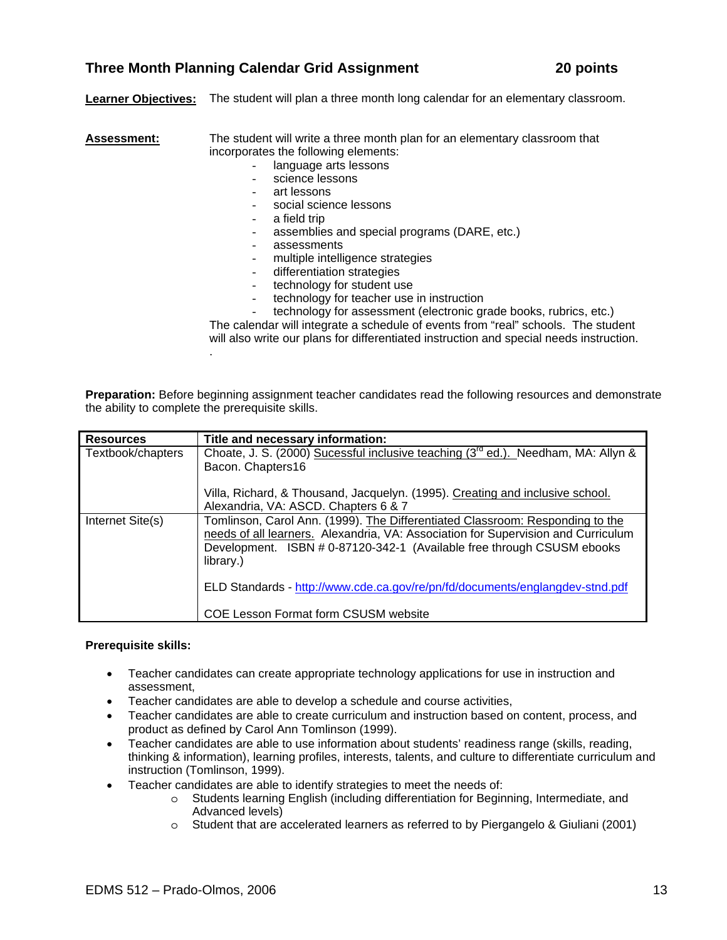# Alexandria, VA: ASCD. Chapters 6 & 7

Resources **Title and necessary information:** 

Bacon. Chapters16

| Internet Site(s) | Tomlinson, Carol Ann. (1999). The Differentiated Classroom: Responding to the<br>needs of all learners. Alexandria, VA: Association for Supervision and Curriculum<br>Development. ISBN # 0-87120-342-1 (Available free through CSUSM ebooks<br>library.) |
|------------------|-----------------------------------------------------------------------------------------------------------------------------------------------------------------------------------------------------------------------------------------------------------|
|                  | ELD Standards - http://www.cde.ca.gov/re/pn/fd/documents/englangdev-stnd.pdf                                                                                                                                                                              |
|                  | COE Lesson Format form CSUSM website                                                                                                                                                                                                                      |

# **Prerequisite skills:**

- Teacher candidates can create appropriate technology applications for use in instruction and assessment,
- Teacher candidates are able to develop a schedule and course activities,
- Teacher candidates are able to create curriculum and instruction based on content, process, and product as defined by Carol Ann Tomlinson (1999).
- Teacher candidates are able to use information about students' readiness range (skills, reading, thinking & information), learning profiles, interests, talents, and culture to differentiate curriculum and instruction (Tomlinson, 1999).
- Teacher candidates are able to identify strategies to meet the needs of:
	- o Students learning English (including differentiation for Beginning, Intermediate, and Advanced levels)
	- o Student that are accelerated learners as referred to by Piergangelo & Giuliani (2001)

# **Learner Objectives:** The student will plan a three month long calendar for an elementary classroom.

**Assessment:** The student will write a three month plan for an elementary classroom that

- incorporates the following elements:
	- language arts lessons
	- science lessons
	- art lessons
	- social science lessons
	- a field trip
	- assemblies and special programs (DARE, etc.)
	- assessments
	- multiple intelligence strategies
	- differentiation strategies
	- technology for student use
	- technology for teacher use in instruction
	- technology for assessment (electronic grade books, rubrics, etc.)

The calendar will integrate a schedule of events from "real" schools. The student will also write our plans for differentiated instruction and special needs instruction. .

Villa, Richard, & Thousand, Jacquelyn. (1995). Creating and inclusive school.

**Preparation:** Before beginning assignment teacher candidates read the following resources and demonstrate the ability to complete the prerequisite skills.

Textbook/chapters  $\Box$  Choate, J. S. (2000) Sucessful inclusive teaching (3<sup>rd</sup> ed.). Needham, MA: Allyn &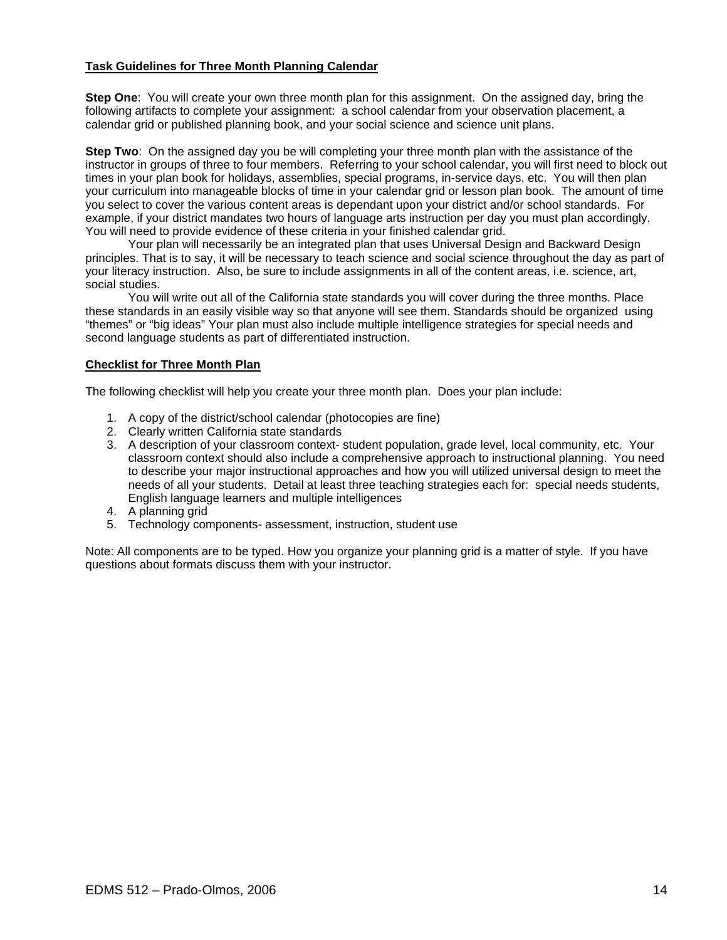#### **Task Guidelines for Three Month Planning Calendar**

**Step One**: You will create your own three month plan for this assignment. On the assigned day, bring the following artifacts to complete your assignment: a school calendar from your observation placement, a calendar grid or published planning book, and your social science and science unit plans.

**Step Two**: On the assigned day you be will completing your three month plan with the assistance of the instructor in groups of three to four members. Referring to your school calendar, you will first need to block out times in your plan book for holidays, assemblies, special programs, in-service days, etc. You will then plan your curriculum into manageable blocks of time in your calendar grid or lesson plan book. The amount of time you select to cover the various content areas is dependant upon your district and/or school standards. For example, if your district mandates two hours of language arts instruction per day you must plan accordingly. You will need to provide evidence of these criteria in your finished calendar grid.

 Your plan will necessarily be an integrated plan that uses Universal Design and Backward Design principles. That is to say, it will be necessary to teach science and social science throughout the day as part of your literacy instruction. Also, be sure to include assignments in all of the content areas, i.e. science, art, social studies.

 You will write out all of the California state standards you will cover during the three months. Place these standards in an easily visible way so that anyone will see them. Standards should be organized using "themes" or "big ideas" Your plan must also include multiple intelligence strategies for special needs and second language students as part of differentiated instruction.

#### **Checklist for Three Month Plan**

The following checklist will help you create your three month plan. Does your plan include:

- 1. A copy of the district/school calendar (photocopies are fine)
- 2. Clearly written California state standards
- 3. A description of your classroom context- student population, grade level, local community, etc. Your classroom context should also include a comprehensive approach to instructional planning. You need to describe your major instructional approaches and how you will utilized universal design to meet the needs of all your students. Detail at least three teaching strategies each for: special needs students, English language learners and multiple intelligences
- 4. A planning grid
- 5. Technology components- assessment, instruction, student use

Note: All components are to be typed. How you organize your planning grid is a matter of style. If you have questions about formats discuss them with your instructor.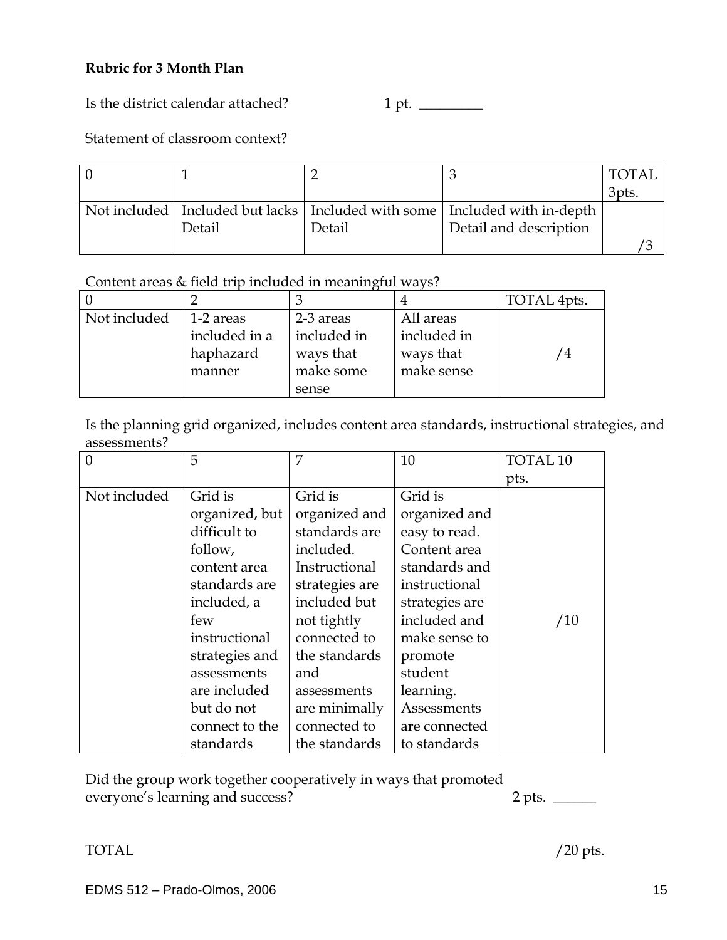# **Rubric for 3 Month Plan**

Is the district calendar attached? 1 pt. \_\_\_\_\_\_\_\_\_

# Statement of classroom context?

| - 0 |        |        |                                                                                 | <b>TOTAL</b> |
|-----|--------|--------|---------------------------------------------------------------------------------|--------------|
|     |        |        |                                                                                 | 3pts.        |
|     |        |        | Not included   Included but lacks   Included with some   Included with in-depth |              |
|     | Detail | Detail | Detail and description                                                          |              |
|     |        |        |                                                                                 |              |

# Content areas & field trip included in meaningful ways?

|              |               |             |             | TOTAL 4pts.  |
|--------------|---------------|-------------|-------------|--------------|
| Not included | 1-2 areas     | 2-3 areas   | All areas   |              |
|              | included in a | included in | included in |              |
|              | haphazard     | ways that   | ways that   | $^{\prime}4$ |
|              | manner        | make some   | make sense  |              |
|              |               | sense       |             |              |

Is the planning grid organized, includes content area standards, instructional strategies, and assessments?

| $\overline{0}$ | 5              | 7              | 10             | <b>TOTAL 10</b> |
|----------------|----------------|----------------|----------------|-----------------|
|                |                |                |                | pts.            |
| Not included   | Grid is        | Grid is        | Grid is        |                 |
|                | organized, but | organized and  | organized and  |                 |
|                | difficult to   | standards are  | easy to read.  |                 |
|                | follow,        | included.      | Content area   |                 |
|                | content area   | Instructional  | standards and  |                 |
|                | standards are  | strategies are | instructional  |                 |
|                | included, a    | included but   | strategies are |                 |
|                | few            | not tightly    | included and   | /10             |
|                | instructional  | connected to   | make sense to  |                 |
|                | strategies and | the standards  | promote        |                 |
|                | assessments    | and            | student        |                 |
|                | are included   | assessments    | learning.      |                 |
|                | but do not     | are minimally  | Assessments    |                 |
|                | connect to the | connected to   | are connected  |                 |
|                | standards      | the standards  | to standards   |                 |

Did the group work together cooperatively in ways that promoted everyone's learning and success? 2 pts.

TOTAL  $/20$  pts.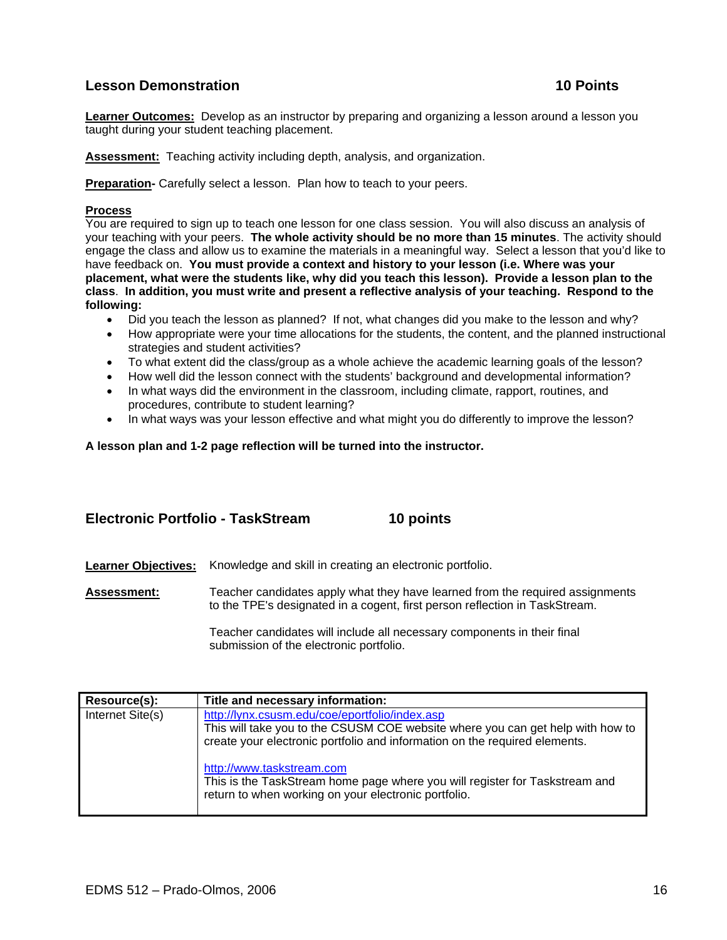# **Lesson Demonstration 10 Points 10 Points**

**Learner Outcomes:** Develop as an instructor by preparing and organizing a lesson around a lesson you taught during your student teaching placement.

**Assessment:** Teaching activity including depth, analysis, and organization.

**Preparation-** Carefully select a lesson. Plan how to teach to your peers.

#### **Process**

You are required to sign up to teach one lesson for one class session. You will also discuss an analysis of your teaching with your peers. **The whole activity should be no more than 15 minutes**. The activity should engage the class and allow us to examine the materials in a meaningful way. Select a lesson that you'd like to have feedback on. **You must provide a context and history to your lesson (i.e. Where was your placement, what were the students like, why did you teach this lesson). Provide a lesson plan to the class**. **In addition, you must write and present a reflective analysis of your teaching. Respond to the following:**

- Did you teach the lesson as planned? If not, what changes did you make to the lesson and why?
- How appropriate were your time allocations for the students, the content, and the planned instructional strategies and student activities?
- To what extent did the class/group as a whole achieve the academic learning goals of the lesson?
- How well did the lesson connect with the students' background and developmental information?
- In what ways did the environment in the classroom, including climate, rapport, routines, and procedures, contribute to student learning?
- In what ways was your lesson effective and what might you do differently to improve the lesson?

**A lesson plan and 1-2 page reflection will be turned into the instructor.** 

### **Electronic Portfolio - TaskStream 10 points**

**Learner Objectives:** Knowledge and skill in creating an electronic portfolio.

**Assessment:** Teacher candidates apply what they have learned from the required assignments to the TPE's designated in a cogent, first person reflection in TaskStream.

> Teacher candidates will include all necessary components in their final submission of the electronic portfolio.

| Resource(s):     | Title and necessary information:                                                                                                                                                                               |
|------------------|----------------------------------------------------------------------------------------------------------------------------------------------------------------------------------------------------------------|
| Internet Site(s) | http://lynx.csusm.edu/coe/eportfolio/index.asp<br>This will take you to the CSUSM COE website where you can get help with how to<br>create your electronic portfolio and information on the required elements. |
|                  | http://www.taskstream.com<br>This is the TaskStream home page where you will register for Taskstream and<br>return to when working on your electronic portfolio.                                               |